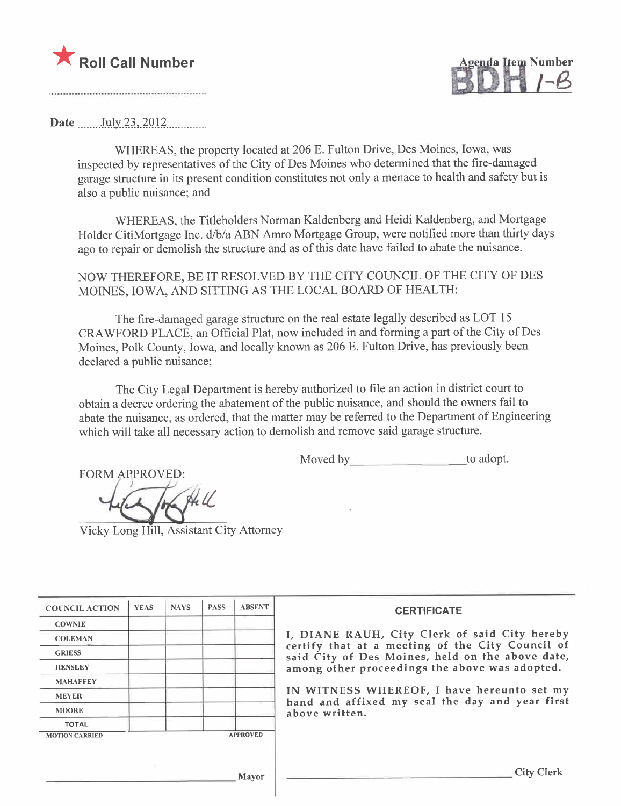

enda Item Number

#### Date .. ..\_\_. .hi-ly- .2.~,. ~Q J 2........ \_\_....

WHEREAS, the property located at 206 E. Fulton Drive, Des Moines, Iowa, was inspected by representatives of the City of Des Moines who determined that the fire-damaged garage structure in its present condition constitutes not only a menace to health and safety but is also a public nuisance; and

WHEREAS, the Titleholders Norman Kaldenberg and Heidi Kaldenberg, and Mortgage Holder CitiMortgage Inc. d/b/a ABN Amro Mortgage Group, were notified more than thirty days ago to repair or demolish the structure and as of this date have failed to abate the nuisance.

NOW THEREFORE, BE IT RESOLVED BY THE CITY COUNCIL OF THE CITY OF DES MOINES, IOWA, AND SITTING AS THE LOCAL BOARD OF HEALTH:

The fire-damaged garage structure on the real estate legally described as LOT 15 CRAWFORD PLACE, an Official Plat, now included in and forming a part of the City of Des Moines, Polk County, Iowa, and locally known as 206 E. Fulton Drive, has previously been declared a public nuisance;

The City Legal Department is hereby authorized to fie an action in district court to obtain a decree ordering the abatement of the public nuisance, and should the owners fail to abate the nuisance, as ordered, that the matter may be referred to the Department of Engineering which will take all necessary action to demolish and remove said garage structure.

Moved by to adopt.

FORM APPROVED:  $\frac{1}{\sqrt{\frac{1}{N}}\sqrt{\frac{1}{N}}}$  Vicky Long Hill, Assistant City Attorney

| <b>COUNCIL ACTION</b> | <b>YEAS</b> | <b>NAYS</b> | <b>PASS</b> | <b>ABSENT</b>   | <b>CERTIFICATE</b>                                                                                   |
|-----------------------|-------------|-------------|-------------|-----------------|------------------------------------------------------------------------------------------------------|
| <b>COWNIE</b>         |             |             |             |                 |                                                                                                      |
| <b>COLEMAN</b>        |             |             |             |                 | I, DIANE RAUH, City Clerk of said City hereby                                                        |
| <b>GRIESS</b>         |             |             |             |                 | certify that at a meeting of the City Council of<br>said City of Des Moines, held on the above date, |
| <b>HENSLEY</b>        |             |             |             |                 | among other proceedings the above was adopted.                                                       |
| <b>MAHAFFEY</b>       |             |             |             |                 |                                                                                                      |
| <b>MEYER</b>          |             |             |             |                 | IN WITNESS WHEREOF, I have hereunto set my<br>hand and affixed my seal the day and year first        |
| <b>MOORE</b>          |             |             |             |                 | above written.                                                                                       |
| <b>TOTAL</b>          |             |             |             |                 |                                                                                                      |
| <b>MOTION CARRIED</b> |             |             |             | <b>APPROVED</b> |                                                                                                      |
|                       |             |             |             |                 |                                                                                                      |
|                       |             |             |             | Mayor           | <b>City Clerk</b>                                                                                    |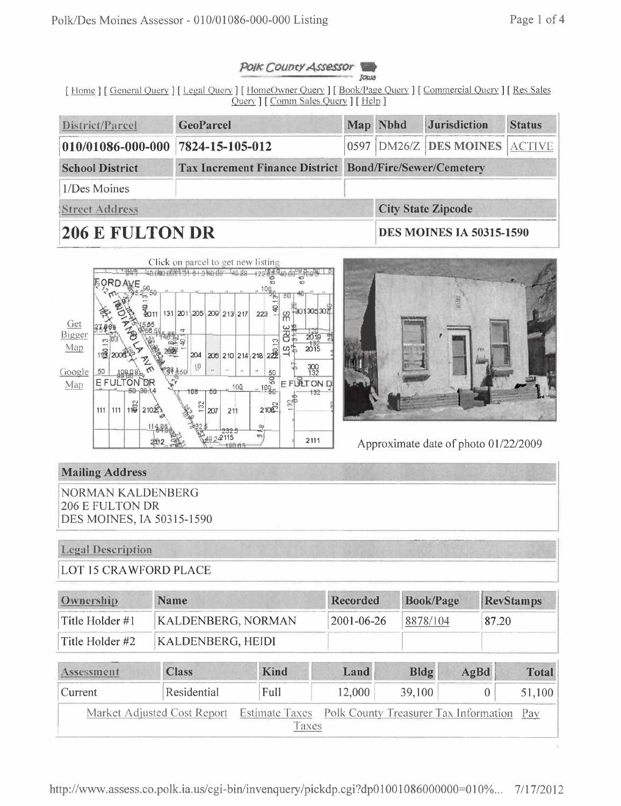### Page 1 of 4

#### POIK COUDTY Assessor Jour

[Home] [General Query] [Legal Query] [HomeOwner Query] [Book/Page Query] [Commercial Query] [Res Sales Query ] [ Comm Sales Query ] [ Help ]

| District/Parcel                                                                          | <b>GeoParcel</b> |  | Map Nbhd                 | <b>Jurisdiction</b>           | <b>Status</b> |  |
|------------------------------------------------------------------------------------------|------------------|--|--------------------------|-------------------------------|---------------|--|
| 010/01086-000-000 7824-15-105-012                                                        |                  |  |                          | 0597 DM26/Z DES MOINES ACTIVE |               |  |
| <b>School District</b><br><b>Tax Increment Finance District Bond/Fire/Sewer/Cemetery</b> |                  |  |                          |                               |               |  |
| 1/Des Moines                                                                             |                  |  |                          |                               |               |  |
| Street Address                                                                           |                  |  |                          | <b>City State Zipcode</b>     |               |  |
| $\Delta$ a din tin tan di                                                                |                  |  | DES MOINES IA 50215 1500 |                               |               |  |

# 200 L FULIUN DR





Approximate date of photo 01/22/2009

## **Mailing Address**

**NORMAN KALDENBERG** 206 E FULTON DR **DES MOINES, IA 50315-1590** 

#### **Legal Description**

**LOT 15 CRAWFORD PLACE** 

| Ownership           | <b>Name</b>               | Recorded   | <b>Book/Page</b> | RevStamps |
|---------------------|---------------------------|------------|------------------|-----------|
| $ $ Title Holder #1 | <b>KALDENBERG, NORMAN</b> | 2001-06-26 | 8878/104         | 87.20     |
| Title Holder #2     | KALDENBERG, HEIDI         |            |                  |           |

| Assessment                                                                           | <b>Class</b> | <b>Kind</b> | Land   | Bldg   | AgBd | Total  |
|--------------------------------------------------------------------------------------|--------------|-------------|--------|--------|------|--------|
| Current                                                                              | Residential  | Full        | 12,000 | 39,100 |      | 51,100 |
| Market Adjusted Cost Report Estimate Taxes Polk County Treasurer Tax Information Pay |              |             |        |        |      |        |
|                                                                                      |              | Taxes       |        |        |      |        |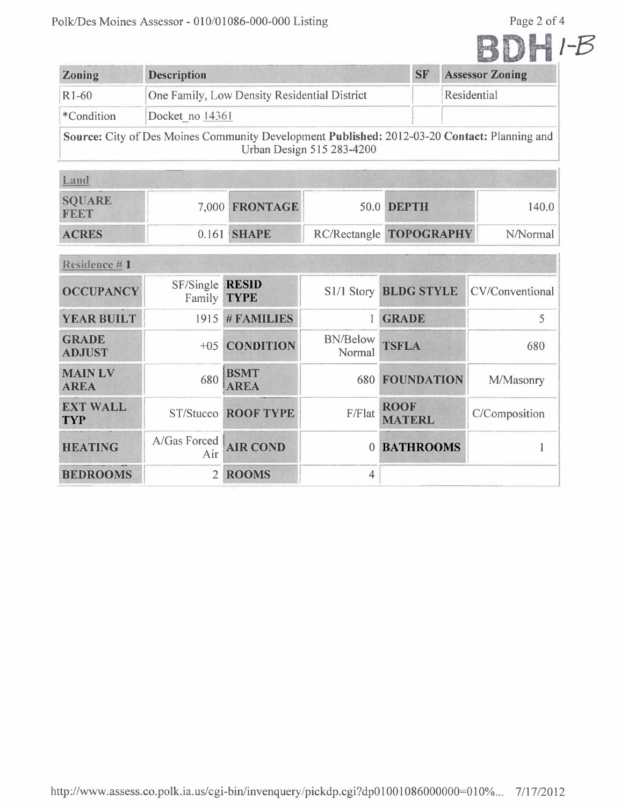Page 2 of 4

|--|--|--|--|

| Zoning             | <b>Description</b>                                                                                                        | <b>SF</b> | <b>Assessor Zoning</b> |  |  |  |  |  |
|--------------------|---------------------------------------------------------------------------------------------------------------------------|-----------|------------------------|--|--|--|--|--|
| R <sub>1</sub> -60 | One Family, Low Density Residential District                                                                              |           | Residential            |  |  |  |  |  |
| *Condition         | Docket no 14361                                                                                                           |           |                        |  |  |  |  |  |
|                    | Source: City of Des Moines Community Development Published: 2012-03-20 Contact: Planning and<br>Urban Design 515 283-4200 |           |                        |  |  |  |  |  |

| Land                  |  |                    |  |                         |          |  |  |  |  |
|-----------------------|--|--------------------|--|-------------------------|----------|--|--|--|--|
| <b>SQUARE</b><br>FEET |  | 7,000 FRONTAGE     |  | <b>50.0 DEPTH</b>       | 140.0    |  |  |  |  |
| <b>ACRES</b>          |  | 0.161 <b>SHAPE</b> |  | RC/Rectangle TOPOGRAPHY | N/Normal |  |  |  |  |

| Residence #1                  |                                       |                            |                       |                              |                 |  |  |  |  |
|-------------------------------|---------------------------------------|----------------------------|-----------------------|------------------------------|-----------------|--|--|--|--|
| <b>OCCUPANCY</b>              | SF/Single RESID<br>Family <b>TYPE</b> |                            | S1/1 Story BLDG STYLE |                              | CV/Conventional |  |  |  |  |
| <b>YEAR BUILT</b>             |                                       | 1915 # FAMILIES            |                       | <b>GRADE</b>                 |                 |  |  |  |  |
| <b>GRADE</b><br><b>ADJUST</b> |                                       | +05 CONDITION              | BN/Below<br>Normal    | <b>TSFLA</b>                 | 680             |  |  |  |  |
| <b>MAINLV</b><br><b>AREA</b>  | 680                                   | <b>BSMT</b><br><b>AREA</b> | 680                   | <b>FOUNDATION</b>            | M/Masonry       |  |  |  |  |
| <b>EXT WALL</b><br><b>TYP</b> |                                       | <b>ST/Stucco ROOF TYPE</b> | F/Flat                | <b>ROOF</b><br><b>MATERL</b> | C/Composition   |  |  |  |  |
| <b>HEATING</b>                | A/Gas Forced<br>Air                   | <b>AIR COND</b>            | 0                     | <b>BATHROOMS</b>             |                 |  |  |  |  |
| <b>BEDROOMS</b>               | $\overline{2}$                        | <b>ROOMS</b>               | 4                     |                              |                 |  |  |  |  |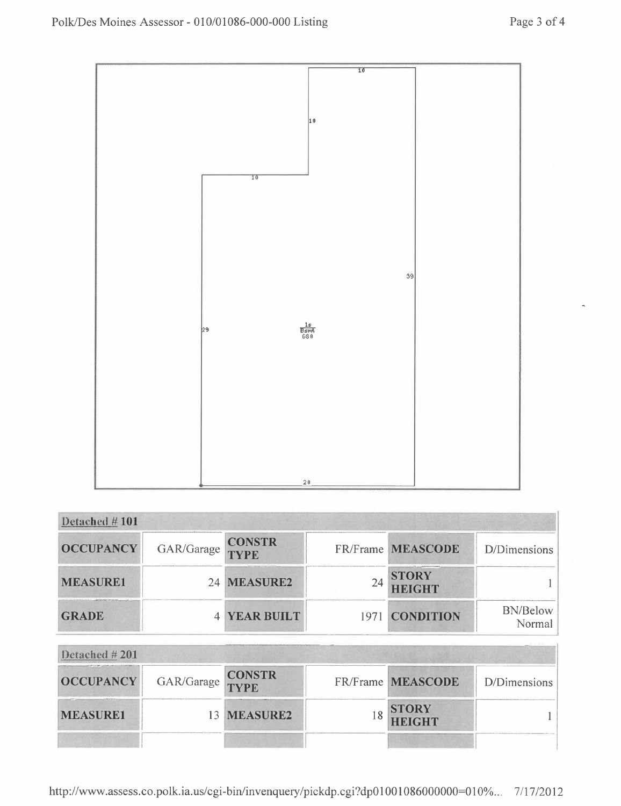

| Detached #101    |                   |                     |    |                        |                 |
|------------------|-------------------|---------------------|----|------------------------|-----------------|
| <b>OCCUPANCY</b> | GAR/Garage CONSTR |                     |    | FR/Frame MEASCODE      | D/Dimensions    |
| <b>MEASURE1</b>  |                   | 24 MEASURE2         | 24 | <b>STORY</b><br>HEIGHT |                 |
| <b>GRADE</b>     |                   | <b>4 YEAR BUILT</b> |    | 1971 CONDITION         | <b>BN/Below</b> |

| Detached $\# 201$ |                   |             |  |                               |              |  |  |  |  |
|-------------------|-------------------|-------------|--|-------------------------------|--------------|--|--|--|--|
| <b>OCCUPANCY</b>  | GAR/Garage CONSTR |             |  | FR/Frame MEASCODE             | D/Dimensions |  |  |  |  |
| <b>MEASURE1</b>   |                   | 13 MEASURE2 |  | <b>STORY</b><br><b>HEIGHT</b> |              |  |  |  |  |
|                   |                   |             |  |                               |              |  |  |  |  |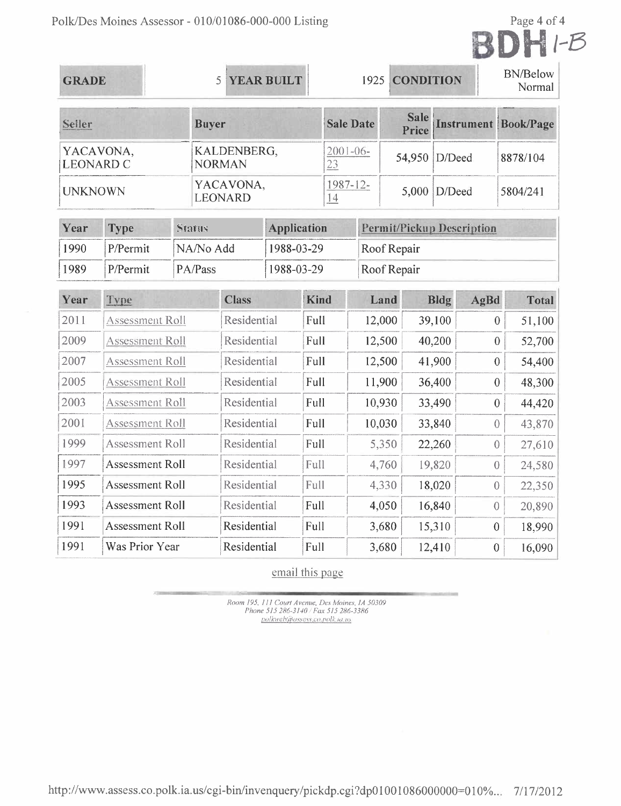

| <b>GRADE</b>                  |                        |               | 5                            |              | <b>YEAR BUILT</b>  |             |                     | 1925                 | <b>CONDITION</b>                 |                |                             |                | <b>BN/Below</b><br>Normal |
|-------------------------------|------------------------|---------------|------------------------------|--------------|--------------------|-------------|---------------------|----------------------|----------------------------------|----------------|-----------------------------|----------------|---------------------------|
| Seller                        |                        |               | <b>Buyer</b>                 |              |                    |             | <b>Sale Date</b>    | <b>Sale</b><br>Price |                                  |                | <b>Instrument Book/Page</b> |                |                           |
| YACAVONA,<br><b>LEONARD C</b> |                        |               | KALDENBERG,<br><b>NORMAN</b> |              |                    |             | $2001 - 06 -$<br>23 |                      | 54,950                           | D/Deed         |                             |                | 8878/104                  |
| <b>UNKNOWN</b>                |                        |               | <b>LEONARD</b>               | YACAVONA,    |                    |             | $1987 - 12$<br>14   |                      | 5,000                            | D/Deed         |                             |                | 5804/241                  |
| Year                          | <b>Type</b>            | <b>Status</b> |                              |              | <b>Application</b> |             |                     |                      | <b>Permit/Pickup Description</b> |                |                             |                |                           |
| 1990                          | P/Permit               |               | NA/No Add                    |              | 1988-03-29         |             |                     |                      | Roof Repair                      |                |                             |                |                           |
| 1989                          | P/Permit               |               | PA/Pass                      | 1988-03-29   |                    |             |                     |                      | Roof Repair                      |                |                             |                |                           |
| Year                          | Type                   |               |                              | <b>Class</b> |                    | <b>Kind</b> | Land                |                      |                                  | <b>Bldg</b>    | AgBd                        |                | <b>Total</b>              |
| 2011                          | <b>Assessment Roll</b> |               |                              | Residential  |                    | Full        | 12,000              |                      |                                  | 39,100         |                             | $\overline{0}$ | 51,100                    |
| 2009                          | <b>Assessment Roll</b> |               |                              | Residential  | Full               |             |                     | 12,500               |                                  | 40,200         |                             | $\overline{0}$ | 52,700                    |
| 2007                          | Assessment Roll        |               |                              | Residential  |                    |             | Full                |                      | 12,500                           | 41,900         |                             | $\theta$       | 54,400                    |
| 2005                          | Assessment Roll        |               |                              | Residential  |                    | Full        | 11,900              |                      |                                  | 36,400         |                             | $\overline{0}$ | 48,300                    |
| 2003                          | Assessment Roll        |               |                              | Residential  |                    | Full        |                     | 10,930               |                                  | 33,490         |                             | $\theta$       | 44,420                    |
| 2001                          | <b>Assessment Roll</b> |               |                              | Residential  |                    | Full        |                     | 10,030               |                                  | 33,840         | $\overline{0}$              |                | 43,870                    |
| 1999                          | <b>Assessment Roll</b> |               |                              | Residential  |                    | Full        |                     |                      | 5,350                            | 22,260         | $\overline{0}$              |                | 27,610                    |
| 1997                          | <b>Assessment Roll</b> |               | Residential                  |              | Full               |             |                     | 4,760                | 19,820                           | $\overline{0}$ |                             | 24,580         |                           |
| 1995                          | Assessment Roll        |               | Residential                  |              | Full               |             |                     | 4,330                | 18,020                           | $\theta$       |                             | 22,350         |                           |
| 1993                          | <b>Assessment Roll</b> |               | Residential                  |              | Full               |             |                     | 4,050                | 16,840                           | $\sqrt{a}$     |                             | 20,890         |                           |
| 1991                          | <b>Assessment Roll</b> |               |                              | Residential  |                    | Full        |                     |                      | 3,680                            | 15,310         | $\theta$                    |                | 18,990                    |
| 1991                          | Was Prior Year         |               |                              | Residential  |                    | Full        |                     |                      | 3,680                            | 12,410         | $\mathbf{0}$                |                | 16,090                    |

# email this page

Room 195, 111 Court Avenue, Des Moines, 1A 50309 Phone 515 286-3140 / Fax 515 286-3386 polkwebiaussess.co.polk.ia.us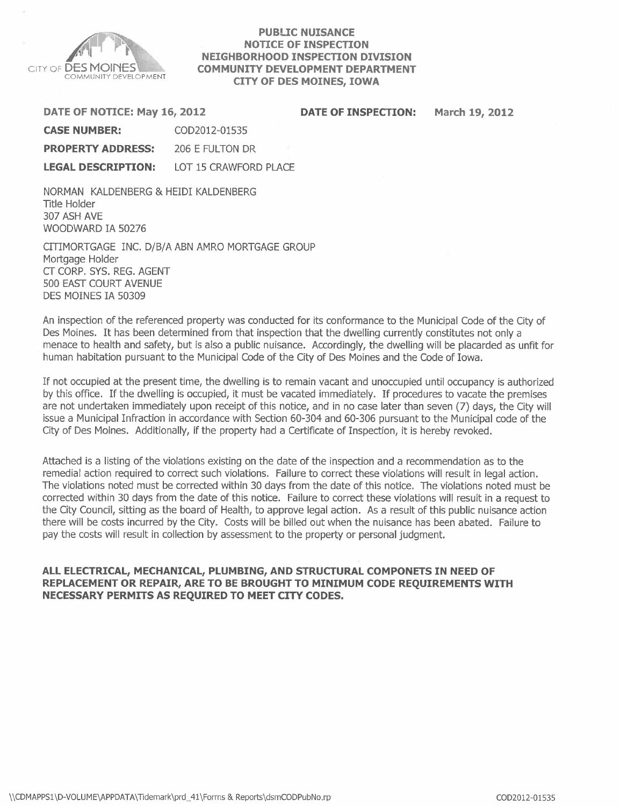

#### PUBLIC NUISANCE NOTICE OF INSPECTION NEIGHBORHOOD INSPECTION DIVISION COMMUNITY DEVELOPMENT DEPARTMENT CITY OF DES MOINES, IOWA

March 19, 2012

| DATE OF NOTICE: May 16, 2012 | <b>DATE OF INSPECTION:</b> |  |
|------------------------------|----------------------------|--|
| <b>CASE NUMBER:</b>          | COD2012-01535              |  |
| <b>PROPERTY ADDRESS:</b>     | 206 E FULTON DR            |  |

LEGAL DESCRIPTION: LOT 15 CRAWFORD PLACE

NORMAN KALDENBERG & HEIDI KALDENBERG Title Holder 307 ASH AVE WOODWARD IA 50276

CITIMORTGAGE INC. D/B/A ABN AMRO MORTGAGE GROUP Mortgage Holder CT CORP. SYS. REG. AGENT 500 EAST COURT AVENUE DES MOINES IA 50309

An inspection of the referenced property was conducted for its conformance to the Municipal Code of the City of Des Moines. It has been determined from that inspection that the dwelling currently constitutes not only a menace to health and safety, but is also a public nuisance. Accordingly, the dwelling will be placarded as unfit for human habitation pursuant to the Municipal Code of the City of Des Moines and the Code of Iowa.

If not occupied at the present time, the dwelling is to remain vacant and unoccupied until occupancy is authorized by this office. If the dwelling is occupied, it must be vacated immediately. If procedures to vacate the premises are not undertaken immediately upon receipt of this notice, and in no case later than seven (7) days, the City will issue a Municipal Infraction in accordance with Section 60-304 and 60-306 pursuant to the Municipal code of the City of Des Moines. Additionally, if the property had a Certificate of Inspection, it is hereby revoked.

Attached is a listing of the violations existing on the date of the inspection and a recommendation as to the remedial action required to correct such violations. Failure to correct these violations will result in legal action. The violations noted must be corrected within 30 days from the date of this notice. The violations noted must be corrected within 30 days from the date of this notice. Failure to correct these violations will result in a request to the City Council, sitting as the board of Health, to approve legal action. As a result of this public nuisance action there will be costs incurred by the City. Costs will be billed out when the nuisance has been abated. Failure to pay the costs will result in collection by assessment to the property or personal judgment.

#### ALL ELECTRICAL, MECHANICAL, PLUMBING, AND STRUCTURAL COMPONETS IN NEED OF REPLACEMENT OR REPAIR, ARE TO BE BROUGHT TO MINIMUM CODE REQUIREMENTS WITH NECESSARY PERMITS AS REQUIRED TO MEET CITY CODES.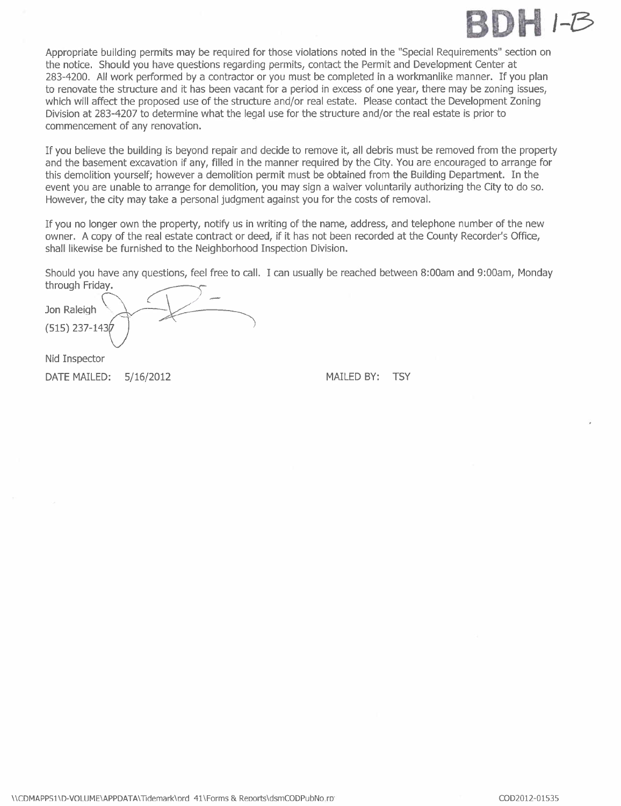

Appropriate building permits may be required for those violations noted in the "Special Requirements" section on the notice. Should you have questions regarding permits, contact the Permit and Development Center at 283-4200. All work performed by a contractor or you must be completed in a workmanlike manner. If you plan to renovate the structure and it has been vacant for a period in excess of one year, there may be zoning issues, which will affect the proposed use of the structure and/or real estate. Please contact the Development Zoning Division at 283-4207 to determine what the legal use for the structure and/or the real estate is prior to commencement of any renovation.

If you believe the building is beyond repair and decide to remove it, all debris must be removed from the property and the basement excavation if any, filled in the manner required by the City. You are encouraged to arrange for this demolition yourself; however a demolition permit must be obtained from the Building Department. In the event you are unable to arrange for demolition, you may sign a waiver voluntarily authorizing the City to do so. However, the city may take a personal judgment against you for the costs of removaL.

If you no longer own the property, notify us in writing of the name, address, and telephone number of the new owner. A copy of the real estate contract or deed, if it has not been recorded at the County Recorder's Office, shall likewise be furnished to the Neighborhood Inspection Division.

Should you have any questions, feel free to call. I can usually be reached between 8:00am and 9:00am, Monday through Friday.

through Friday.<br>Jon Raleigh (515) 237-1430

Nid Inspector

DATE MAILED:  $5/16/2012$  MAILED BY: TSY